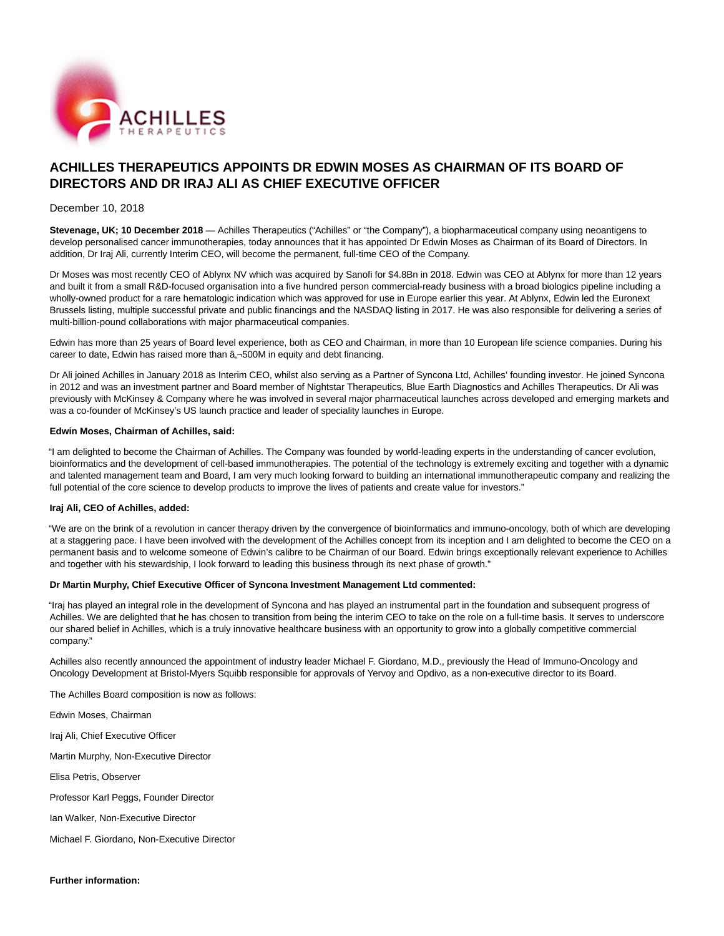

# **ACHILLES THERAPEUTICS APPOINTS DR EDWIN MOSES AS CHAIRMAN OF ITS BOARD OF DIRECTORS AND DR IRAJ ALI AS CHIEF EXECUTIVE OFFICER**

# December 10, 2018

**Stevenage, UK; 10 December 2018** — Achilles Therapeutics ("Achilles" or "the Company"), a biopharmaceutical company using neoantigens to develop personalised cancer immunotherapies, today announces that it has appointed Dr Edwin Moses as Chairman of its Board of Directors. In addition, Dr Iraj Ali, currently Interim CEO, will become the permanent, full-time CEO of the Company.

Dr Moses was most recently CEO of Ablynx NV which was acquired by Sanofi for \$4.8Bn in 2018. Edwin was CEO at Ablynx for more than 12 years and built it from a small R&D-focused organisation into a five hundred person commercial-ready business with a broad biologics pipeline including a wholly-owned product for a rare hematologic indication which was approved for use in Europe earlier this year. At Ablynx, Edwin led the Euronext Brussels listing, multiple successful private and public financings and the NASDAQ listing in 2017. He was also responsible for delivering a series of multi-billion-pound collaborations with major pharmaceutical companies.

Edwin has more than 25 years of Board level experience, both as CEO and Chairman, in more than 10 European life science companies. During his career to date, Edwin has raised more than  $\hat{a}$ , 500M in equity and debt financing.

Dr Ali joined Achilles in January 2018 as Interim CEO, whilst also serving as a Partner of Syncona Ltd, Achilles' founding investor. He joined Syncona in 2012 and was an investment partner and Board member of Nightstar Therapeutics, Blue Earth Diagnostics and Achilles Therapeutics. Dr Ali was previously with McKinsey & Company where he was involved in several major pharmaceutical launches across developed and emerging markets and was a co-founder of McKinsey's US launch practice and leader of speciality launches in Europe.

#### **Edwin Moses, Chairman of Achilles, said:**

"I am delighted to become the Chairman of Achilles. The Company was founded by world-leading experts in the understanding of cancer evolution, bioinformatics and the development of cell-based immunotherapies. The potential of the technology is extremely exciting and together with a dynamic and talented management team and Board, I am very much looking forward to building an international immunotherapeutic company and realizing the full potential of the core science to develop products to improve the lives of patients and create value for investors."

#### **Iraj Ali, CEO of Achilles, added:**

"We are on the brink of a revolution in cancer therapy driven by the convergence of bioinformatics and immuno-oncology, both of which are developing at a staggering pace. I have been involved with the development of the Achilles concept from its inception and I am delighted to become the CEO on a permanent basis and to welcome someone of Edwin's calibre to be Chairman of our Board. Edwin brings exceptionally relevant experience to Achilles and together with his stewardship, I look forward to leading this business through its next phase of growth."

## **Dr Martin Murphy, Chief Executive Officer of Syncona Investment Management Ltd commented:**

"Iraj has played an integral role in the development of Syncona and has played an instrumental part in the foundation and subsequent progress of Achilles. We are delighted that he has chosen to transition from being the interim CEO to take on the role on a full-time basis. It serves to underscore our shared belief in Achilles, which is a truly innovative healthcare business with an opportunity to grow into a globally competitive commercial company."

Achilles also recently announced the appointment of industry leader Michael F. Giordano, M.D., previously the Head of Immuno-Oncology and Oncology Development at Bristol-Myers Squibb responsible for approvals of Yervoy and Opdivo, as a non-executive director to its Board.

The Achilles Board composition is now as follows:

Edwin Moses, Chairman

Iraj Ali, Chief Executive Officer

Martin Murphy, Non-Executive Director

Elisa Petris, Observer

Professor Karl Peggs, Founder Director

Ian Walker, Non-Executive Director

Michael F. Giordano, Non-Executive Director

**Further information:**